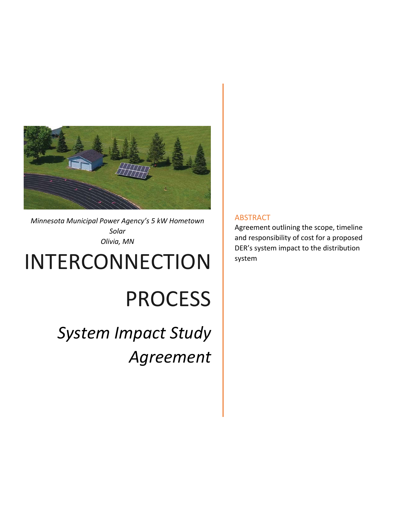

*Minnesota Municipal Power Agency's 5 kW Hometown Solar Olivia, MN* 

# INTERCONNECTION

# PROCESS

*System Impact Study Agreement* 

# ABSTRACT

Agreement outlining the scope, timeline and responsibility of cost for a proposed DER's system impact to the distribution system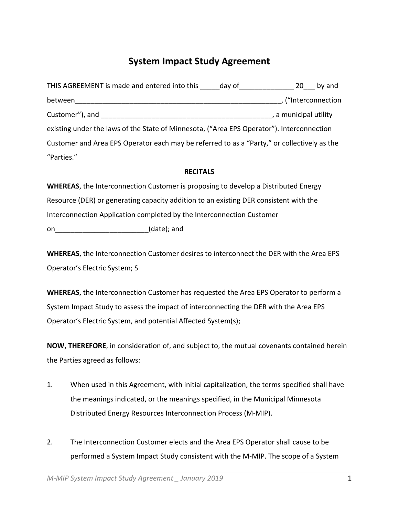# **System Impact Study Agreement**

| THIS AGREEMENT is made and entered into this day of                                         | by and<br>20          |
|---------------------------------------------------------------------------------------------|-----------------------|
| between                                                                                     | ("Interconnection     |
| Customer"), and                                                                             | , a municipal utility |
| existing under the laws of the State of Minnesota, ("Area EPS Operator"). Interconnection   |                       |
| Customer and Area EPS Operator each may be referred to as a "Party," or collectively as the |                       |
| "Parties."                                                                                  |                       |

#### **RECITALS**

**WHEREAS**, the Interconnection Customer is proposing to develop a Distributed Energy Resource (DER) or generating capacity addition to an existing DER consistent with the Interconnection Application completed by the Interconnection Customer

on  $(date)$ ; and

**WHEREAS**, the Interconnection Customer desires to interconnect the DER with the Area EPS Operator's Electric System; S

**WHEREAS**, the Interconnection Customer has requested the Area EPS Operator to perform a System Impact Study to assess the impact of interconnecting the DER with the Area EPS Operator's Electric System, and potential Affected System(s);

**NOW, THEREFORE**, in consideration of, and subject to, the mutual covenants contained herein the Parties agreed as follows:

- 1. When used in this Agreement, with initial capitalization, the terms specified shall have the meanings indicated, or the meanings specified, in the Municipal Minnesota Distributed Energy Resources Interconnection Process (M‐MIP).
- 2. The Interconnection Customer elects and the Area EPS Operator shall cause to be performed a System Impact Study consistent with the M‐MIP. The scope of a System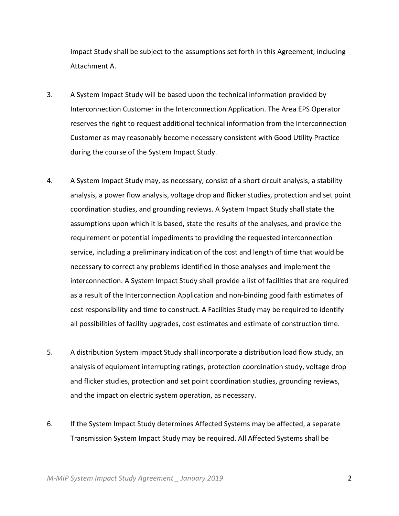Impact Study shall be subject to the assumptions set forth in this Agreement; including Attachment A.

- 3. A System Impact Study will be based upon the technical information provided by Interconnection Customer in the Interconnection Application. The Area EPS Operator reserves the right to request additional technical information from the Interconnection Customer as may reasonably become necessary consistent with Good Utility Practice during the course of the System Impact Study.
- 4. A System Impact Study may, as necessary, consist of a short circuit analysis, a stability analysis, a power flow analysis, voltage drop and flicker studies, protection and set point coordination studies, and grounding reviews. A System Impact Study shall state the assumptions upon which it is based, state the results of the analyses, and provide the requirement or potential impediments to providing the requested interconnection service, including a preliminary indication of the cost and length of time that would be necessary to correct any problems identified in those analyses and implement the interconnection. A System Impact Study shall provide a list of facilities that are required as a result of the Interconnection Application and non‐binding good faith estimates of cost responsibility and time to construct. A Facilities Study may be required to identify all possibilities of facility upgrades, cost estimates and estimate of construction time.
- 5. A distribution System Impact Study shall incorporate a distribution load flow study, an analysis of equipment interrupting ratings, protection coordination study, voltage drop and flicker studies, protection and set point coordination studies, grounding reviews, and the impact on electric system operation, as necessary.
- 6. If the System Impact Study determines Affected Systems may be affected, a separate Transmission System Impact Study may be required. All Affected Systems shall be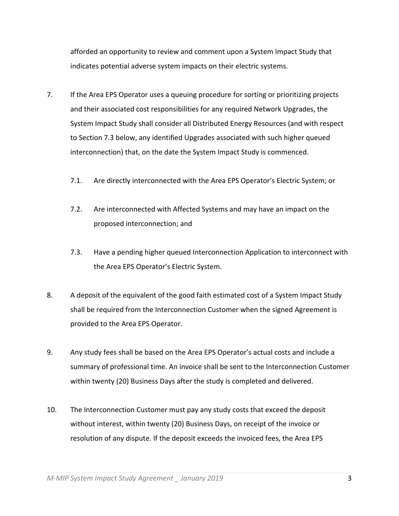afforded an opportunity to review and comment upon a System Impact Study that indicates potential adverse system impacts on their electric systems.

- 7. If the Area EPS Operator uses a queuing procedure for sorting or prioritizing projects and their associated cost responsibilities for any required Network Upgrades, the System Impact Study shall consider all Distributed Energy Resources (and with respect to Section 7.3 below, any identified Upgrades associated with such higher queued interconnection) that, on the date the System Impact Study is commenced.
	- 7.1. Are directly interconnected with the Area EPS Operator's Electric System; or
	- 7.2. Are interconnected with Affected Systems and may have an impact on the proposed interconnection; and
	- 7.3. Have a pending higher queued Interconnection Application to interconnect with the Area EPS Operator's Electric System.
- 8. A deposit of the equivalent of the good faith estimated cost of a System Impact Study shall be required from the Interconnection Customer when the signed Agreement is provided to the Area EPS Operator.
- 9. Any study fees shall be based on the Area EPS Operator's actual costs and include a summary of professional time. An invoice shall be sent to the Interconnection Customer within twenty (20) Business Days after the study is completed and delivered.
- 10. The Interconnection Customer must pay any study costs that exceed the deposit without interest, within twenty (20) Business Days, on receipt of the invoice or resolution of any dispute. If the deposit exceeds the invoiced fees, the Area EPS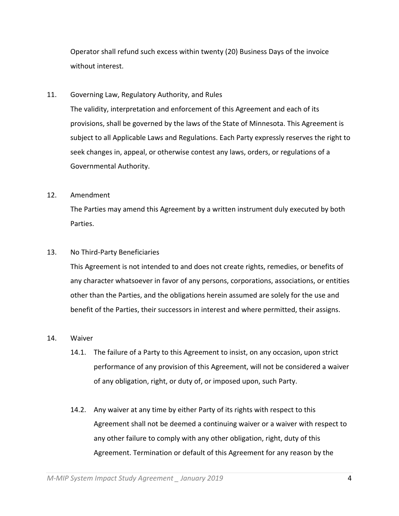Operator shall refund such excess within twenty (20) Business Days of the invoice without interest.

11. Governing Law, Regulatory Authority, and Rules

The validity, interpretation and enforcement of this Agreement and each of its provisions, shall be governed by the laws of the State of Minnesota. This Agreement is subject to all Applicable Laws and Regulations. Each Party expressly reserves the right to seek changes in, appeal, or otherwise contest any laws, orders, or regulations of a Governmental Authority.

#### 12. Amendment

The Parties may amend this Agreement by a written instrument duly executed by both Parties.

#### 13. No Third‐Party Beneficiaries

This Agreement is not intended to and does not create rights, remedies, or benefits of any character whatsoever in favor of any persons, corporations, associations, or entities other than the Parties, and the obligations herein assumed are solely for the use and benefit of the Parties, their successors in interest and where permitted, their assigns.

#### 14. Waiver

- 14.1. The failure of a Party to this Agreement to insist, on any occasion, upon strict performance of any provision of this Agreement, will not be considered a waiver of any obligation, right, or duty of, or imposed upon, such Party.
- 14.2. Any waiver at any time by either Party of its rights with respect to this Agreement shall not be deemed a continuing waiver or a waiver with respect to any other failure to comply with any other obligation, right, duty of this Agreement. Termination or default of this Agreement for any reason by the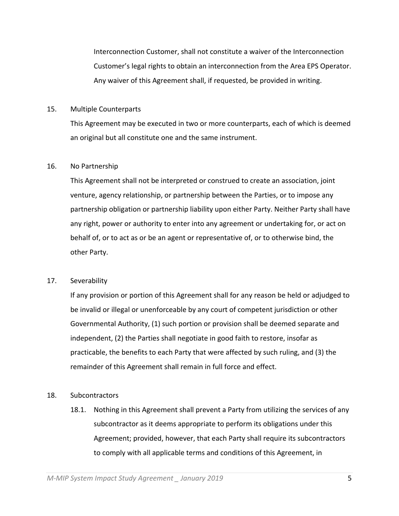Interconnection Customer, shall not constitute a waiver of the Interconnection Customer's legal rights to obtain an interconnection from the Area EPS Operator. Any waiver of this Agreement shall, if requested, be provided in writing.

#### 15. Multiple Counterparts

This Agreement may be executed in two or more counterparts, each of which is deemed an original but all constitute one and the same instrument.

#### 16. No Partnership

This Agreement shall not be interpreted or construed to create an association, joint venture, agency relationship, or partnership between the Parties, or to impose any partnership obligation or partnership liability upon either Party. Neither Party shall have any right, power or authority to enter into any agreement or undertaking for, or act on behalf of, or to act as or be an agent or representative of, or to otherwise bind, the other Party.

## 17. Severability

If any provision or portion of this Agreement shall for any reason be held or adjudged to be invalid or illegal or unenforceable by any court of competent jurisdiction or other Governmental Authority, (1) such portion or provision shall be deemed separate and independent, (2) the Parties shall negotiate in good faith to restore, insofar as practicable, the benefits to each Party that were affected by such ruling, and (3) the remainder of this Agreement shall remain in full force and effect.

## 18. Subcontractors

18.1. Nothing in this Agreement shall prevent a Party from utilizing the services of any subcontractor as it deems appropriate to perform its obligations under this Agreement; provided, however, that each Party shall require its subcontractors to comply with all applicable terms and conditions of this Agreement, in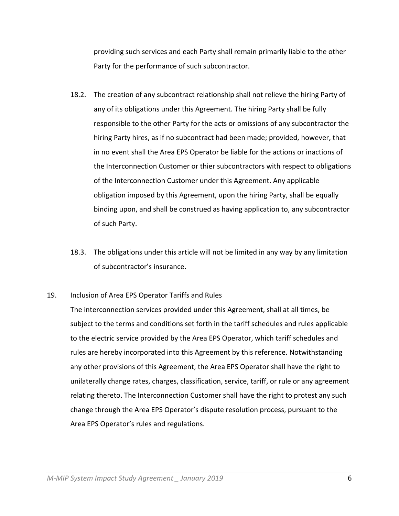providing such services and each Party shall remain primarily liable to the other Party for the performance of such subcontractor.

- 18.2. The creation of any subcontract relationship shall not relieve the hiring Party of any of its obligations under this Agreement. The hiring Party shall be fully responsible to the other Party for the acts or omissions of any subcontractor the hiring Party hires, as if no subcontract had been made; provided, however, that in no event shall the Area EPS Operator be liable for the actions or inactions of the Interconnection Customer or thier subcontractors with respect to obligations of the Interconnection Customer under this Agreement. Any applicable obligation imposed by this Agreement, upon the hiring Party, shall be equally binding upon, and shall be construed as having application to, any subcontractor of such Party.
- 18.3. The obligations under this article will not be limited in any way by any limitation of subcontractor's insurance.
- 19. Inclusion of Area EPS Operator Tariffs and Rules

The interconnection services provided under this Agreement, shall at all times, be subject to the terms and conditions set forth in the tariff schedules and rules applicable to the electric service provided by the Area EPS Operator, which tariff schedules and rules are hereby incorporated into this Agreement by this reference. Notwithstanding any other provisions of this Agreement, the Area EPS Operator shall have the right to unilaterally change rates, charges, classification, service, tariff, or rule or any agreement relating thereto. The Interconnection Customer shall have the right to protest any such change through the Area EPS Operator's dispute resolution process, pursuant to the Area EPS Operator's rules and regulations.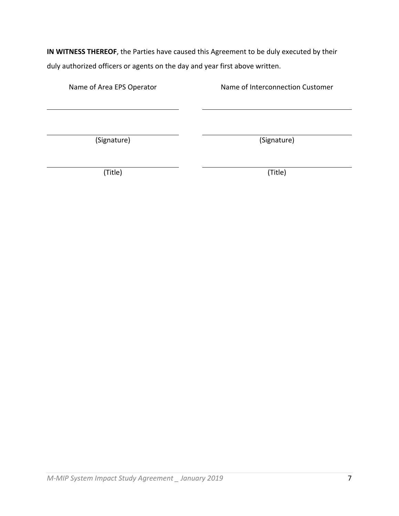**IN WITNESS THEREOF**, the Parties have caused this Agreement to be duly executed by their duly authorized officers or agents on the day and year first above written.

Name of Area EPS Operator **Name of Interconnection Customer** 

(Signature) (Signature)

(Title) (Title)